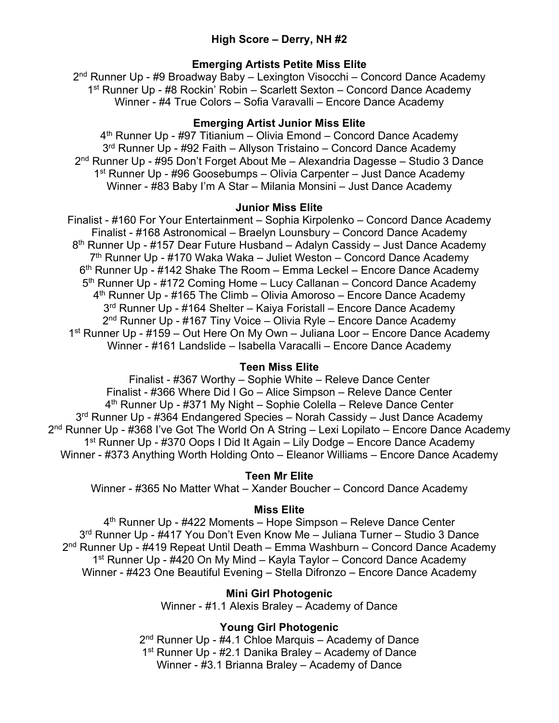# **High Score – Derry, NH #2**

# **Emerging Artists Petite Miss Elite**

2nd Runner Up - #9 Broadway Baby – Lexington Visocchi – Concord Dance Academy 1st Runner Up - #8 Rockin' Robin – Scarlett Sexton – Concord Dance Academy Winner - #4 True Colors – Sofia Varavalli – Encore Dance Academy

# **Emerging Artist Junior Miss Elite**

4<sup>th</sup> Runner Up - #97 Titianium – Olivia Emond – Concord Dance Academy 3<sup>rd</sup> Runner Up - #92 Faith – Allyson Tristaino – Concord Dance Academy 2nd Runner Up - #95 Don't Forget About Me – Alexandria Dagesse – Studio 3 Dance 1st Runner Up - #96 Goosebumps – Olivia Carpenter – Just Dance Academy Winner - #83 Baby I'm A Star – Milania Monsini – Just Dance Academy

# **Junior Miss Elite**

Finalist - #160 For Your Entertainment – Sophia Kirpolenko – Concord Dance Academy Finalist - #168 Astronomical – Braelyn Lounsbury – Concord Dance Academy 8<sup>th</sup> Runner Up - #157 Dear Future Husband – Adalyn Cassidy – Just Dance Academy 7th Runner Up - #170 Waka Waka – Juliet Weston – Concord Dance Academy  $6<sup>th</sup>$  Runner Up - #142 Shake The Room – Emma Leckel – Encore Dance Academy 5<sup>th</sup> Runner Up - #172 Coming Home – Lucy Callanan – Concord Dance Academy  $4<sup>th</sup>$  Runner Up - #165 The Climb – Olivia Amoroso – Encore Dance Academy 3<sup>rd</sup> Runner Up - #164 Shelter – Kaiya Foristall – Encore Dance Academy 2<sup>nd</sup> Runner Up - #167 Tiny Voice – Olivia Ryle – Encore Dance Academy 1st Runner Up - #159 – Out Here On My Own – Juliana Loor – Encore Dance Academy Winner - #161 Landslide – Isabella Varacalli – Encore Dance Academy

# **Teen Miss Elite**

Finalist - #367 Worthy – Sophie White – Releve Dance Center Finalist - #366 Where Did I Go – Alice Simpson – Releve Dance Center 4<sup>th</sup> Runner Up - #371 My Night – Sophie Colella – Releve Dance Center 3<sup>rd</sup> Runner Up - #364 Endangered Species – Norah Cassidy – Just Dance Academy 2<sup>nd</sup> Runner Up - #368 I've Got The World On A String – Lexi Lopilato – Encore Dance Academy 1st Runner Up - #370 Oops I Did It Again – Lily Dodge – Encore Dance Academy Winner - #373 Anything Worth Holding Onto – Eleanor Williams – Encore Dance Academy

# **Teen Mr Elite**

Winner - #365 No Matter What – Xander Boucher – Concord Dance Academy

# **Miss Elite**

4<sup>th</sup> Runner Up - #422 Moments – Hope Simpson – Releve Dance Center 3<sup>rd</sup> Runner Up - #417 You Don't Even Know Me - Juliana Turner - Studio 3 Dance 2<sup>nd</sup> Runner Up - #419 Repeat Until Death – Emma Washburn – Concord Dance Academy 1<sup>st</sup> Runner Up - #420 On My Mind – Kayla Taylor – Concord Dance Academy Winner - #423 One Beautiful Evening – Stella Difronzo – Encore Dance Academy

# **Mini Girl Photogenic**

Winner - #1.1 Alexis Braley – Academy of Dance

# **Young Girl Photogenic**

2<sup>nd</sup> Runner Up - #4.1 Chloe Marquis – Academy of Dance 1<sup>st</sup> Runner Up - #2.1 Danika Braley – Academy of Dance Winner - #3.1 Brianna Braley – Academy of Dance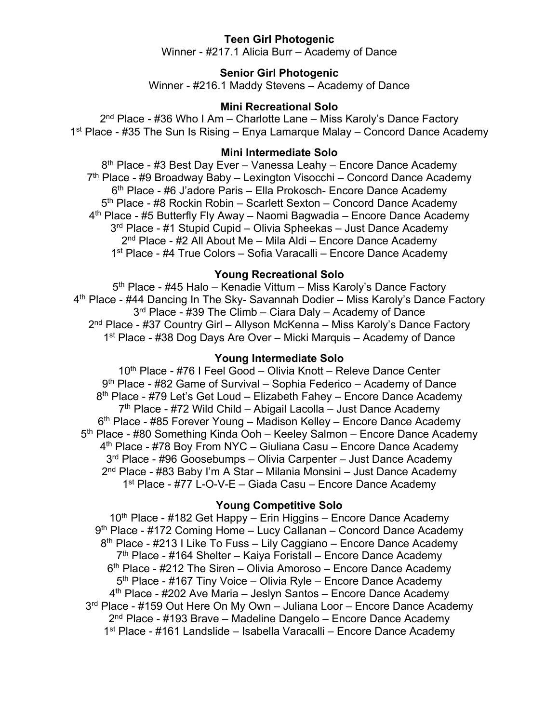# **Teen Girl Photogenic**

Winner - #217.1 Alicia Burr – Academy of Dance

### **Senior Girl Photogenic**

Winner - #216.1 Maddy Stevens – Academy of Dance

### **Mini Recreational Solo**

 $2<sup>nd</sup>$  Place - #36 Who I Am – Charlotte Lane – Miss Karoly's Dance Factory 1st Place - #35 The Sun Is Rising – Enya Lamarque Malay – Concord Dance Academy

### **Mini Intermediate Solo**

8<sup>th</sup> Place - #3 Best Day Ever – Vanessa Leahy – Encore Dance Academy 7<sup>th</sup> Place - #9 Broadway Baby – Lexington Visocchi – Concord Dance Academy 6<sup>th</sup> Place - #6 J'adore Paris – Ella Prokosch- Encore Dance Academy 5<sup>th</sup> Place - #8 Rockin Robin – Scarlett Sexton – Concord Dance Academy  $4<sup>th</sup>$  Place - #5 Butterfly Fly Away – Naomi Bagwadia – Encore Dance Academy 3<sup>rd</sup> Place - #1 Stupid Cupid – Olivia Spheekas – Just Dance Academy  $2<sup>nd</sup>$  Place - #2 All About Me – Mila Aldi – Encore Dance Academy 1st Place - #4 True Colors – Sofia Varacalli – Encore Dance Academy

# **Young Recreational Solo**

5<sup>th</sup> Place - #45 Halo – Kenadie Vittum – Miss Karoly's Dance Factory 4th Place - #44 Dancing In The Sky- Savannah Dodier – Miss Karoly's Dance Factory 3<sup>rd</sup> Place - #39 The Climb – Ciara Daly – Academy of Dance 2nd Place - #37 Country Girl – Allyson McKenna – Miss Karoly's Dance Factory 1st Place - #38 Dog Days Are Over – Micki Marquis – Academy of Dance

#### **Young Intermediate Solo**

10<sup>th</sup> Place - #76 I Feel Good – Olivia Knott – Releve Dance Center  $9<sup>th</sup>$  Place - #82 Game of Survival – Sophia Federico – Academy of Dance 8<sup>th</sup> Place - #79 Let's Get Loud – Elizabeth Fahey – Encore Dance Academy  $7<sup>th</sup>$  Place - #72 Wild Child – Abigail Lacolla – Just Dance Academy 6<sup>th</sup> Place - #85 Forever Young – Madison Kelley – Encore Dance Academy 5th Place - #80 Something Kinda Ooh – Keeley Salmon – Encore Dance Academy 4<sup>th</sup> Place - #78 Boy From NYC – Giuliana Casu – Encore Dance Academy 3<sup>rd</sup> Place - #96 Goosebumps – Olivia Carpenter – Just Dance Academy 2nd Place - #83 Baby I'm A Star – Milania Monsini – Just Dance Academy 1st Place - #77 L-O-V-E – Giada Casu – Encore Dance Academy

#### **Young Competitive Solo**

 $10<sup>th</sup>$  Place - #182 Get Happy – Erin Higgins – Encore Dance Academy 9<sup>th</sup> Place - #172 Coming Home – Lucy Callanan – Concord Dance Academy  $8<sup>th</sup>$  Place - #213 I Like To Fuss – Lily Caggiano – Encore Dance Academy 7th Place - #164 Shelter – Kaiya Foristall – Encore Dance Academy 6th Place - #212 The Siren – Olivia Amoroso – Encore Dance Academy  $5<sup>th</sup>$  Place - #167 Tiny Voice – Olivia Ryle – Encore Dance Academy 4<sup>th</sup> Place - #202 Ave Maria – Jeslyn Santos – Encore Dance Academy 3<sup>rd</sup> Place - #159 Out Here On My Own – Juliana Loor – Encore Dance Academy 2nd Place - #193 Brave – Madeline Dangelo – Encore Dance Academy 1st Place - #161 Landslide – Isabella Varacalli – Encore Dance Academy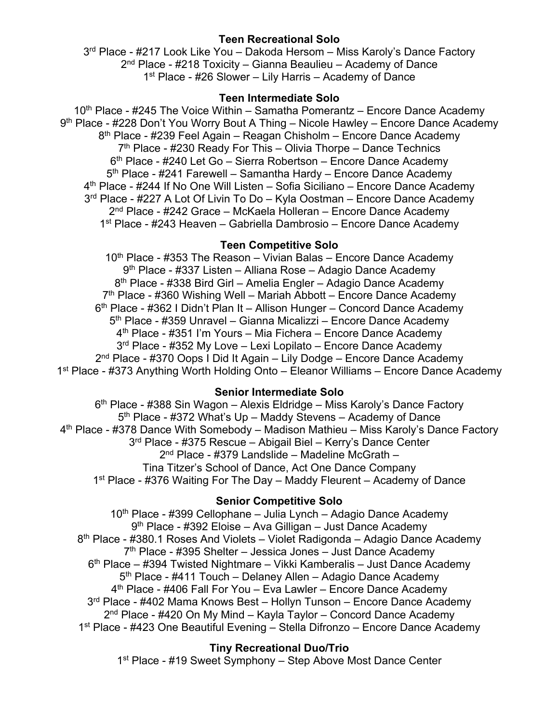# **Teen Recreational Solo**

3<sup>rd</sup> Place - #217 Look Like You – Dakoda Hersom – Miss Karoly's Dance Factory  $2<sup>nd</sup>$  Place - #218 Toxicity – Gianna Beaulieu – Academy of Dance 1st Place - #26 Slower – Lily Harris – Academy of Dance

# **Teen Intermediate Solo**

 $10<sup>th</sup>$  Place - #245 The Voice Within – Samatha Pomerantz – Encore Dance Academy 9<sup>th</sup> Place - #228 Don't You Worry Bout A Thing – Nicole Hawley – Encore Dance Academy 8<sup>th</sup> Place - #239 Feel Again – Reagan Chisholm – Encore Dance Academy  $7<sup>th</sup>$  Place - #230 Ready For This – Olivia Thorpe – Dance Technics 6th Place - #240 Let Go – Sierra Robertson – Encore Dance Academy 5<sup>th</sup> Place - #241 Farewell – Samantha Hardy – Encore Dance Academy 4<sup>th</sup> Place - #244 If No One Will Listen – Sofia Siciliano – Encore Dance Academy 3<sup>rd</sup> Place - #227 A Lot Of Livin To Do – Kyla Oostman – Encore Dance Academy 2nd Place - #242 Grace – McKaela Holleran – Encore Dance Academy 1st Place - #243 Heaven – Gabriella Dambrosio – Encore Dance Academy

# **Teen Competitive Solo**

 $10<sup>th</sup>$  Place - #353 The Reason – Vivian Balas – Encore Dance Academy 9th Place - #337 Listen – Alliana Rose – Adagio Dance Academy 8th Place - #338 Bird Girl – Amelia Engler – Adagio Dance Academy  $7<sup>th</sup>$  Place - #360 Wishing Well – Mariah Abbott – Encore Dance Academy  $6<sup>th</sup>$  Place - #362 I Didn't Plan It – Allison Hunger – Concord Dance Academy 5th Place - #359 Unravel – Gianna Micalizzi – Encore Dance Academy 4th Place - #351 I'm Yours – Mia Fichera – Encore Dance Academy 3<sup>rd</sup> Place - #352 My Love – Lexi Lopilato – Encore Dance Academy 2nd Place - #370 Oops I Did It Again – Lily Dodge – Encore Dance Academy 1st Place - #373 Anything Worth Holding Onto – Eleanor Williams – Encore Dance Academy

# **Senior Intermediate Solo**

6<sup>th</sup> Place - #388 Sin Wagon – Alexis Eldridge – Miss Karoly's Dance Factory  $5<sup>th</sup>$  Place - #372 What's Up – Maddy Stevens – Academy of Dance 4th Place - #378 Dance With Somebody – Madison Mathieu – Miss Karoly's Dance Factory 3rd Place - #375 Rescue – Abigail Biel – Kerry's Dance Center 2nd Place - #379 Landslide – Madeline McGrath – Tina Titzer's School of Dance, Act One Dance Company 1st Place - #376 Waiting For The Day – Maddy Fleurent – Academy of Dance

# **Senior Competitive Solo**

 $10<sup>th</sup>$  Place - #399 Cellophane – Julia Lynch – Adagio Dance Academy 9th Place - #392 Eloise – Ava Gilligan – Just Dance Academy 8th Place - #380.1 Roses And Violets – Violet Radigonda – Adagio Dance Academy  $7<sup>th</sup>$  Place - #395 Shelter – Jessica Jones – Just Dance Academy  $6<sup>th</sup>$  Place – #394 Twisted Nightmare – Vikki Kamberalis – Just Dance Academy 5<sup>th</sup> Place - #411 Touch – Delaney Allen – Adagio Dance Academy 4th Place - #406 Fall For You – Eva Lawler – Encore Dance Academy 3<sup>rd</sup> Place - #402 Mama Knows Best – Hollyn Tunson – Encore Dance Academy 2<sup>nd</sup> Place - #420 On My Mind – Kayla Taylor – Concord Dance Academy 1<sup>st</sup> Place - #423 One Beautiful Evening – Stella Difronzo – Encore Dance Academy

# **Tiny Recreational Duo/Trio**

1<sup>st</sup> Place - #19 Sweet Symphony – Step Above Most Dance Center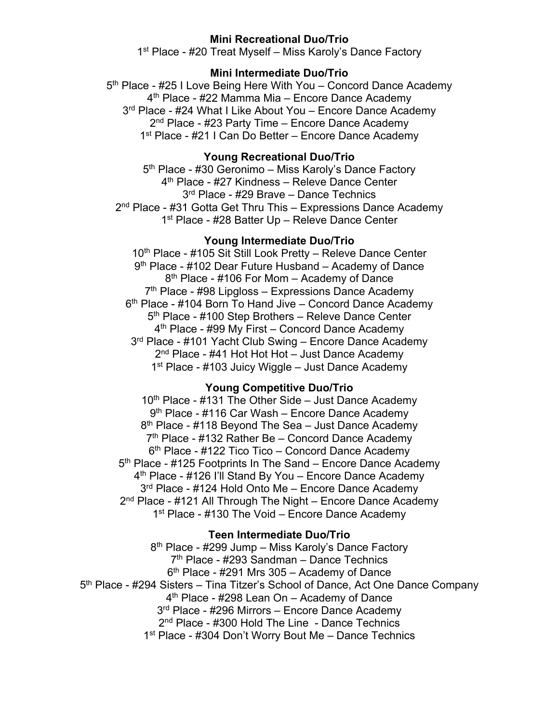### **Mini Recreational Duo/Trio**

1<sup>st</sup> Place - #20 Treat Myself – Miss Karoly's Dance Factory

#### **Mini Intermediate Duo/Trio**

5<sup>th</sup> Place - #25 I Love Being Here With You – Concord Dance Academy 4<sup>th</sup> Place - #22 Mamma Mia – Encore Dance Academy 3<sup>rd</sup> Place - #24 What I Like About You – Encore Dance Academy 2<sup>nd</sup> Place - #23 Party Time – Encore Dance Academy 1<sup>st</sup> Place - #21 I Can Do Better – Encore Dance Academy

### **Young Recreational Duo/Trio**

5<sup>th</sup> Place - #30 Geronimo – Miss Karoly's Dance Factory 4th Place - #27 Kindness – Releve Dance Center 3rd Place - #29 Brave – Dance Technics 2<sup>nd</sup> Place - #31 Gotta Get Thru This – Expressions Dance Academy 1<sup>st</sup> Place - #28 Batter Up - Releve Dance Center

#### **Young Intermediate Duo/Trio**

10<sup>th</sup> Place - #105 Sit Still Look Pretty - Releve Dance Center 9<sup>th</sup> Place - #102 Dear Future Husband – Academy of Dance 8<sup>th</sup> Place - #106 For Mom – Academy of Dance  $7<sup>th</sup>$  Place - #98 Lipgloss – Expressions Dance Academy  $6<sup>th</sup>$  Place - #104 Born To Hand Jive – Concord Dance Academy 5<sup>th</sup> Place - #100 Step Brothers - Releve Dance Center 4<sup>th</sup> Place - #99 My First – Concord Dance Academy 3<sup>rd</sup> Place - #101 Yacht Club Swing – Encore Dance Academy 2<sup>nd</sup> Place - #41 Hot Hot Hot – Just Dance Academy 1<sup>st</sup> Place - #103 Juicy Wiggle – Just Dance Academy

### **Young Competitive Duo/Trio**

 $10<sup>th</sup>$  Place - #131 The Other Side – Just Dance Academy 9th Place - #116 Car Wash – Encore Dance Academy 8<sup>th</sup> Place - #118 Beyond The Sea – Just Dance Academy  $7<sup>th</sup>$  Place - #132 Rather Be – Concord Dance Academy  $6<sup>th</sup>$  Place - #122 Tico Tico – Concord Dance Academy 5<sup>th</sup> Place - #125 Footprints In The Sand – Encore Dance Academy 4<sup>th</sup> Place - #126 I'll Stand By You – Encore Dance Academy 3<sup>rd</sup> Place - #124 Hold Onto Me – Encore Dance Academy 2<sup>nd</sup> Place - #121 All Through The Night – Encore Dance Academy 1<sup>st</sup> Place - #130 The Void – Encore Dance Academy

#### **Teen Intermediate Duo/Trio**

8<sup>th</sup> Place - #299 Jump – Miss Karoly's Dance Factory 7th Place - #293 Sandman – Dance Technics  $6<sup>th</sup>$  Place - #291 Mrs 305 – Academy of Dance 5<sup>th</sup> Place - #294 Sisters – Tina Titzer's School of Dance, Act One Dance Company 4<sup>th</sup> Place - #298 Lean On – Academy of Dance 3<sup>rd</sup> Place - #296 Mirrors – Encore Dance Academy 2<sup>nd</sup> Place - #300 Hold The Line - Dance Technics 1<sup>st</sup> Place - #304 Don't Worry Bout Me – Dance Technics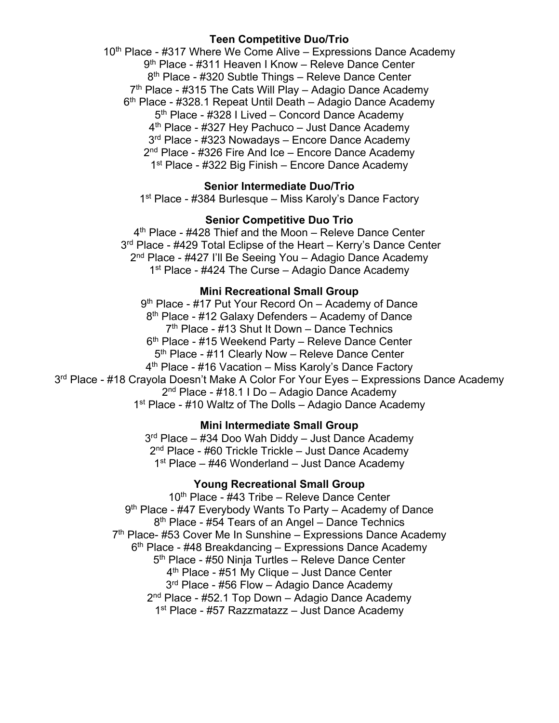# **Teen Competitive Duo/Trio**

10<sup>th</sup> Place - #317 Where We Come Alive – Expressions Dance Academy 9<sup>th</sup> Place - #311 Heaven I Know – Releve Dance Center 8<sup>th</sup> Place - #320 Subtle Things – Releve Dance Center  $7<sup>th</sup>$  Place - #315 The Cats Will Play – Adagio Dance Academy  $6<sup>th</sup>$  Place - #328.1 Repeat Until Death – Adagio Dance Academy 5<sup>th</sup> Place - #328 I Lived – Concord Dance Academy  $4<sup>th</sup>$  Place - #327 Hey Pachuco – Just Dance Academy 3<sup>rd</sup> Place - #323 Nowadays – Encore Dance Academy 2<sup>nd</sup> Place - #326 Fire And Ice – Encore Dance Academy 1<sup>st</sup> Place - #322 Big Finish – Encore Dance Academy

## **Senior Intermediate Duo/Trio**

1<sup>st</sup> Place - #384 Burlesque – Miss Karoly's Dance Factory

#### **Senior Competitive Duo Trio**

4<sup>th</sup> Place - #428 Thief and the Moon – Releve Dance Center 3<sup>rd</sup> Place - #429 Total Eclipse of the Heart – Kerry's Dance Center 2<sup>nd</sup> Place - #427 I'll Be Seeing You - Adagio Dance Academy 1<sup>st</sup> Place - #424 The Curse – Adagio Dance Academy

#### **Mini Recreational Small Group**

9<sup>th</sup> Place - #17 Put Your Record On - Academy of Dance 8<sup>th</sup> Place - #12 Galaxy Defenders – Academy of Dance 7th Place - #13 Shut It Down – Dance Technics 6<sup>th</sup> Place - #15 Weekend Party - Releve Dance Center 5<sup>th</sup> Place - #11 Clearly Now – Releve Dance Center 4<sup>th</sup> Place - #16 Vacation – Miss Karoly's Dance Factory 3<sup>rd</sup> Place - #18 Crayola Doesn't Make A Color For Your Eyes – Expressions Dance Academy 2nd Place - #18.1 I Do – Adagio Dance Academy 1<sup>st</sup> Place - #10 Waltz of The Dolls - Adagio Dance Academy

## **Mini Intermediate Small Group**

 $3<sup>rd</sup>$  Place – #34 Doo Wah Diddy – Just Dance Academy 2<sup>nd</sup> Place - #60 Trickle Trickle – Just Dance Academy  $1<sup>st</sup>$  Place – #46 Wonderland – Just Dance Academy

# **Young Recreational Small Group**

10<sup>th</sup> Place - #43 Tribe – Releve Dance Center 9<sup>th</sup> Place - #47 Everybody Wants To Party – Academy of Dance 8<sup>th</sup> Place - #54 Tears of an Angel – Dance Technics  $7<sup>th</sup>$  Place- #53 Cover Me In Sunshine – Expressions Dance Academy 6<sup>th</sup> Place - #48 Breakdancing – Expressions Dance Academy 5<sup>th</sup> Place - #50 Ninja Turtles - Releve Dance Center 4<sup>th</sup> Place - #51 My Clique – Just Dance Center 3<sup>rd</sup> Place - #56 Flow – Adagio Dance Academy 2<sup>nd</sup> Place - #52.1 Top Down - Adagio Dance Academy 1<sup>st</sup> Place - #57 Razzmatazz – Just Dance Academy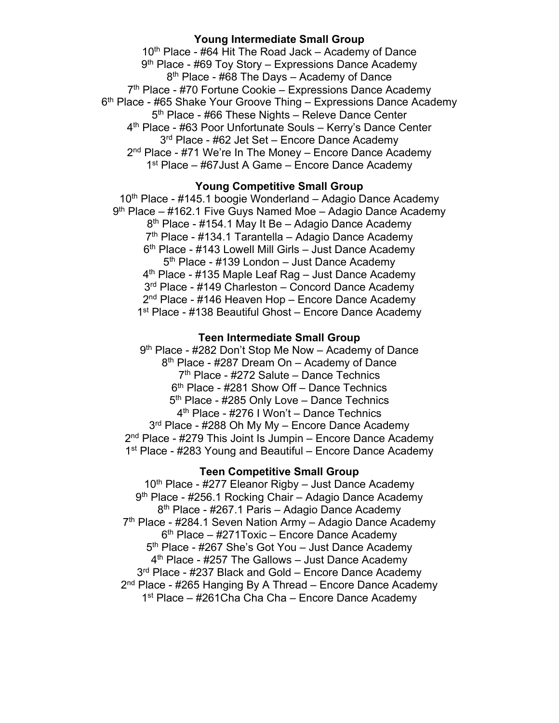### **Young Intermediate Small Group**

 $10<sup>th</sup>$  Place - #64 Hit The Road Jack – Academy of Dance  $9<sup>th</sup>$  Place - #69 Toy Story – Expressions Dance Academy 8<sup>th</sup> Place - #68 The Days – Academy of Dance 7<sup>th</sup> Place - #70 Fortune Cookie – Expressions Dance Academy 6<sup>th</sup> Place - #65 Shake Your Groove Thing – Expressions Dance Academy  $5<sup>th</sup>$  Place - #66 These Nights – Releve Dance Center 4th Place - #63 Poor Unfortunate Souls – Kerry's Dance Center 3<sup>rd</sup> Place - #62 Jet Set – Encore Dance Academy  $2<sup>nd</sup>$  Place - #71 We're In The Money – Encore Dance Academy 1<sup>st</sup> Place – #67 Just A Game – Encore Dance Academy

#### **Young Competitive Small Group**

 $10<sup>th</sup>$  Place - #145.1 boogie Wonderland – Adagio Dance Academy  $9<sup>th</sup>$  Place – #162.1 Five Guys Named Moe – Adagio Dance Academy 8<sup>th</sup> Place - #154.1 May It Be – Adagio Dance Academy 7<sup>th</sup> Place - #134.1 Tarantella – Adagio Dance Academy 6<sup>th</sup> Place - #143 Lowell Mill Girls – Just Dance Academy 5th Place - #139 London – Just Dance Academy 4<sup>th</sup> Place - #135 Maple Leaf Rag - Just Dance Academy 3<sup>rd</sup> Place - #149 Charleston – Concord Dance Academy 2<sup>nd</sup> Place - #146 Heaven Hop - Encore Dance Academy 1<sup>st</sup> Place - #138 Beautiful Ghost – Encore Dance Academy

#### **Teen Intermediate Small Group**

9<sup>th</sup> Place - #282 Don't Stop Me Now - Academy of Dance 8<sup>th</sup> Place - #287 Dream On – Academy of Dance 7th Place - #272 Salute – Dance Technics 6th Place - #281 Show Off – Dance Technics 5<sup>th</sup> Place - #285 Only Love – Dance Technics 4th Place - #276 I Won't – Dance Technics 3<sup>rd</sup> Place - #288 Oh My My – Encore Dance Academy 2<sup>nd</sup> Place - #279 This Joint Is Jumpin – Encore Dance Academy 1<sup>st</sup> Place - #283 Young and Beautiful – Encore Dance Academy

#### **Teen Competitive Small Group**

 $10<sup>th</sup>$  Place - #277 Eleanor Rigby – Just Dance Academy 9<sup>th</sup> Place - #256.1 Rocking Chair – Adagio Dance Academy 8<sup>th</sup> Place - #267.1 Paris – Adagio Dance Academy  $7<sup>th</sup>$  Place - #284.1 Seven Nation Army – Adagio Dance Academy  $6<sup>th</sup>$  Place – #271Toxic – Encore Dance Academy 5<sup>th</sup> Place - #267 She's Got You – Just Dance Academy  $4<sup>th</sup>$  Place - #257 The Gallows – Just Dance Academy 3<sup>rd</sup> Place - #237 Black and Gold – Encore Dance Academy 2<sup>nd</sup> Place - #265 Hanging By A Thread – Encore Dance Academy 1<sup>st</sup> Place – #261Cha Cha Cha – Encore Dance Academy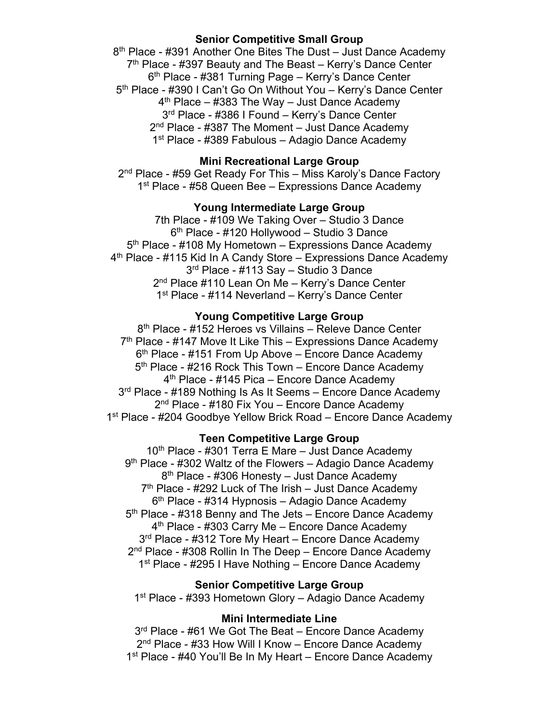### **Senior Competitive Small Group**

8<sup>th</sup> Place - #391 Another One Bites The Dust – Just Dance Academy  $7<sup>th</sup>$  Place - #397 Beauty and The Beast – Kerry's Dance Center 6th Place - #381 Turning Page – Kerry's Dance Center 5th Place - #390 I Can't Go On Without You – Kerry's Dance Center  $4<sup>th</sup>$  Place – #383 The Way – Just Dance Academy 3rd Place - #386 I Found – Kerry's Dance Center  $2<sup>nd</sup>$  Place - #387 The Moment – Just Dance Academy 1st Place - #389 Fabulous – Adagio Dance Academy

## **Mini Recreational Large Group**

2<sup>nd</sup> Place - #59 Get Ready For This – Miss Karoly's Dance Factory 1<sup>st</sup> Place - #58 Queen Bee – Expressions Dance Academy

# **Young Intermediate Large Group**

7th Place - #109 We Taking Over – Studio 3 Dance 6th Place - #120 Hollywood – Studio 3 Dance 5<sup>th</sup> Place - #108 My Hometown – Expressions Dance Academy 4<sup>th</sup> Place - #115 Kid In A Candy Store – Expressions Dance Academy 3rd Place - #113 Say – Studio 3 Dance 2<sup>nd</sup> Place #110 Lean On Me – Kerry's Dance Center 1<sup>st</sup> Place - #114 Neverland – Kerry's Dance Center

### **Young Competitive Large Group**

8<sup>th</sup> Place - #152 Heroes vs Villains – Releve Dance Center 7<sup>th</sup> Place - #147 Move It Like This – Expressions Dance Academy  $6<sup>th</sup>$  Place - #151 From Up Above – Encore Dance Academy 5<sup>th</sup> Place - #216 Rock This Town – Encore Dance Academy 4<sup>th</sup> Place - #145 Pica – Encore Dance Academy 3<sup>rd</sup> Place - #189 Nothing Is As It Seems – Encore Dance Academy 2<sup>nd</sup> Place - #180 Fix You – Encore Dance Academy 1<sup>st</sup> Place - #204 Goodbye Yellow Brick Road – Encore Dance Academy

#### **Teen Competitive Large Group**

 $10<sup>th</sup>$  Place - #301 Terra E Mare – Just Dance Academy 9<sup>th</sup> Place - #302 Waltz of the Flowers - Adagio Dance Academy 8<sup>th</sup> Place - #306 Honesty – Just Dance Academy  $7<sup>th</sup>$  Place - #292 Luck of The Irish – Just Dance Academy  $6<sup>th</sup>$  Place - #314 Hypnosis – Adagio Dance Academy 5<sup>th</sup> Place - #318 Benny and The Jets – Encore Dance Academy 4<sup>th</sup> Place - #303 Carry Me – Encore Dance Academy 3<sup>rd</sup> Place - #312 Tore My Heart – Encore Dance Academy 2<sup>nd</sup> Place - #308 Rollin In The Deep – Encore Dance Academy 1<sup>st</sup> Place - #295 I Have Nothing – Encore Dance Academy

### **Senior Competitive Large Group**

1st Place - #393 Hometown Glory – Adagio Dance Academy

#### **Mini Intermediate Line**

3<sup>rd</sup> Place - #61 We Got The Beat – Encore Dance Academy 2<sup>nd</sup> Place - #33 How Will I Know – Encore Dance Academy 1<sup>st</sup> Place - #40 You'll Be In My Heart – Encore Dance Academy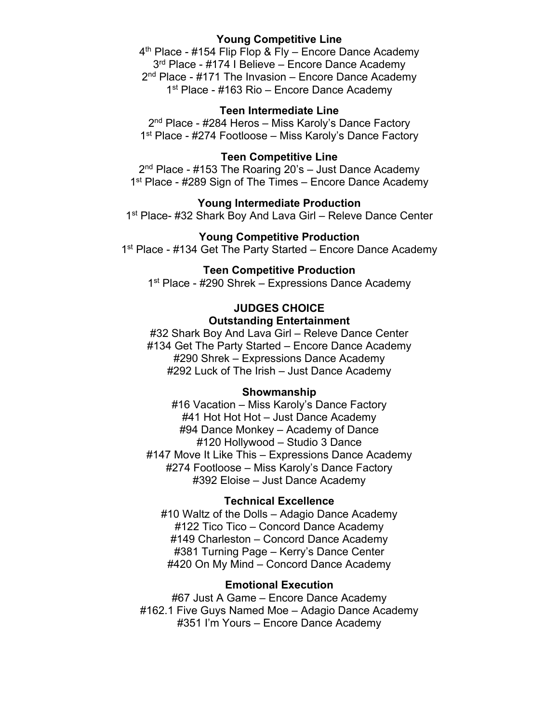# **Young Competitive Line**

 $4<sup>th</sup>$  Place - #154 Flip Flop & Fly – Encore Dance Academy 3<sup>rd</sup> Place - #174 I Believe – Encore Dance Academy 2<sup>nd</sup> Place - #171 The Invasion – Encore Dance Academy 1<sup>st</sup> Place - #163 Rio – Encore Dance Academy

### **Teen Intermediate Line**

2<sup>nd</sup> Place - #284 Heros – Miss Karoly's Dance Factory 1<sup>st</sup> Place - #274 Footloose – Miss Karoly's Dance Factory

### **Teen Competitive Line**

 $2<sup>nd</sup>$  Place - #153 The Roaring 20's – Just Dance Academy 1<sup>st</sup> Place - #289 Sign of The Times – Encore Dance Academy

### **Young Intermediate Production**

1<sup>st</sup> Place- #32 Shark Boy And Lava Girl – Releve Dance Center

## **Young Competitive Production**

1<sup>st</sup> Place - #134 Get The Party Started – Encore Dance Academy

#### **Teen Competitive Production**

1<sup>st</sup> Place - #290 Shrek – Expressions Dance Academy

# **JUDGES CHOICE Outstanding Entertainment**

#32 Shark Boy And Lava Girl – Releve Dance Center #134 Get The Party Started – Encore Dance Academy #290 Shrek – Expressions Dance Academy #292 Luck of The Irish – Just Dance Academy

### **Showmanship**

#16 Vacation – Miss Karoly's Dance Factory #41 Hot Hot Hot – Just Dance Academy #94 Dance Monkey – Academy of Dance #120 Hollywood – Studio 3 Dance #147 Move It Like This – Expressions Dance Academy #274 Footloose – Miss Karoly's Dance Factory #392 Eloise – Just Dance Academy

#### **Technical Excellence**

#10 Waltz of the Dolls – Adagio Dance Academy #122 Tico Tico – Concord Dance Academy #149 Charleston – Concord Dance Academy #381 Turning Page – Kerry's Dance Center #420 On My Mind – Concord Dance Academy

## **Emotional Execution**

#67 Just A Game – Encore Dance Academy #162.1 Five Guys Named Moe – Adagio Dance Academy #351 I'm Yours – Encore Dance Academy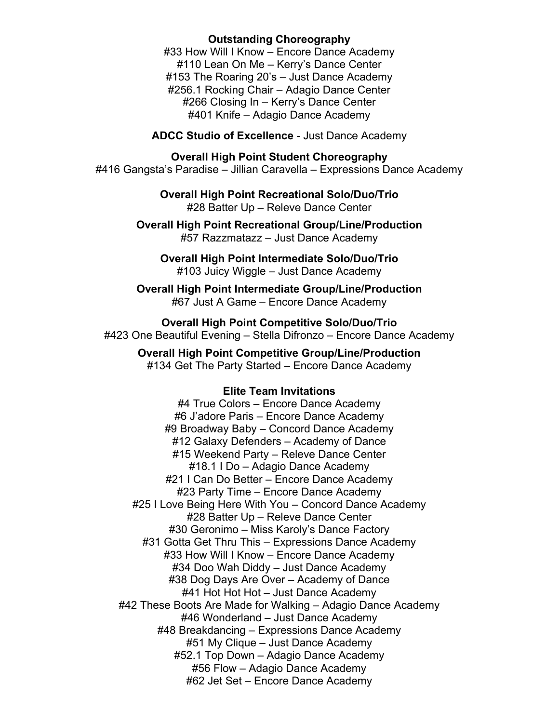## **Outstanding Choreography**

#33 How Will I Know – Encore Dance Academy #110 Lean On Me – Kerry's Dance Center #153 The Roaring 20's – Just Dance Academy #256.1 Rocking Chair – Adagio Dance Center #266 Closing In – Kerry's Dance Center #401 Knife – Adagio Dance Academy

**ADCC Studio of Excellence** - Just Dance Academy

# **Overall High Point Student Choreography**

#416 Gangsta's Paradise – Jillian Caravella – Expressions Dance Academy

**Overall High Point Recreational Solo/Duo/Trio** #28 Batter Up – Releve Dance Center

**Overall High Point Recreational Group/Line/Production** #57 Razzmatazz – Just Dance Academy

**Overall High Point Intermediate Solo/Duo/Trio** #103 Juicy Wiggle – Just Dance Academy

**Overall High Point Intermediate Group/Line/Production** #67 Just A Game – Encore Dance Academy

**Overall High Point Competitive Solo/Duo/Trio** #423 One Beautiful Evening – Stella Difronzo – Encore Dance Academy

**Overall High Point Competitive Group/Line/Production** #134 Get The Party Started – Encore Dance Academy

### **Elite Team Invitations**

#4 True Colors – Encore Dance Academy #6 J'adore Paris – Encore Dance Academy #9 Broadway Baby – Concord Dance Academy #12 Galaxy Defenders – Academy of Dance #15 Weekend Party – Releve Dance Center #18.1 I Do – Adagio Dance Academy #21 I Can Do Better – Encore Dance Academy #23 Party Time – Encore Dance Academy #25 I Love Being Here With You – Concord Dance Academy #28 Batter Up – Releve Dance Center #30 Geronimo – Miss Karoly's Dance Factory #31 Gotta Get Thru This – Expressions Dance Academy #33 How Will I Know – Encore Dance Academy #34 Doo Wah Diddy – Just Dance Academy #38 Dog Days Are Over – Academy of Dance #41 Hot Hot Hot – Just Dance Academy #42 These Boots Are Made for Walking – Adagio Dance Academy #46 Wonderland – Just Dance Academy #48 Breakdancing – Expressions Dance Academy #51 My Clique – Just Dance Academy #52.1 Top Down – Adagio Dance Academy #56 Flow – Adagio Dance Academy #62 Jet Set – Encore Dance Academy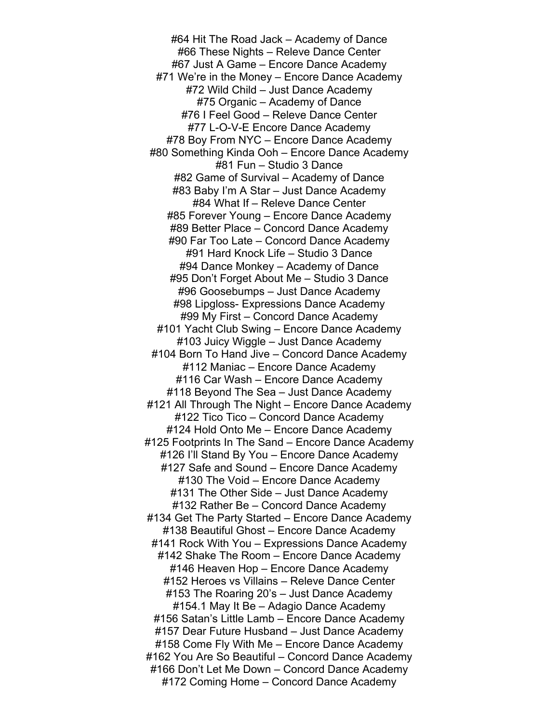#64 Hit The Road Jack – Academy of Dance #66 These Nights – Releve Dance Center #67 Just A Game – Encore Dance Academy #71 We're in the Money – Encore Dance Academy #72 Wild Child – Just Dance Academy #75 Organic – Academy of Dance #76 I Feel Good – Releve Dance Center #77 L-O-V-E Encore Dance Academy #78 Boy From NYC – Encore Dance Academy #80 Something Kinda Ooh – Encore Dance Academy #81 Fun – Studio 3 Dance #82 Game of Survival – Academy of Dance #83 Baby I'm A Star – Just Dance Academy #84 What If – Releve Dance Center #85 Forever Young – Encore Dance Academy #89 Better Place – Concord Dance Academy #90 Far Too Late – Concord Dance Academy #91 Hard Knock Life – Studio 3 Dance #94 Dance Monkey – Academy of Dance #95 Don't Forget About Me – Studio 3 Dance #96 Goosebumps – Just Dance Academy #98 Lipgloss- Expressions Dance Academy #99 My First – Concord Dance Academy #101 Yacht Club Swing – Encore Dance Academy #103 Juicy Wiggle – Just Dance Academy #104 Born To Hand Jive – Concord Dance Academy #112 Maniac – Encore Dance Academy #116 Car Wash – Encore Dance Academy #118 Beyond The Sea – Just Dance Academy #121 All Through The Night – Encore Dance Academy #122 Tico Tico – Concord Dance Academy #124 Hold Onto Me – Encore Dance Academy #125 Footprints In The Sand – Encore Dance Academy #126 I'll Stand By You – Encore Dance Academy #127 Safe and Sound – Encore Dance Academy #130 The Void – Encore Dance Academy #131 The Other Side – Just Dance Academy #132 Rather Be – Concord Dance Academy #134 Get The Party Started – Encore Dance Academy #138 Beautiful Ghost – Encore Dance Academy #141 Rock With You – Expressions Dance Academy #142 Shake The Room – Encore Dance Academy #146 Heaven Hop – Encore Dance Academy #152 Heroes vs Villains – Releve Dance Center #153 The Roaring 20's – Just Dance Academy #154.1 May It Be – Adagio Dance Academy #156 Satan's Little Lamb – Encore Dance Academy #157 Dear Future Husband – Just Dance Academy #158 Come Fly With Me – Encore Dance Academy #162 You Are So Beautiful – Concord Dance Academy #166 Don't Let Me Down – Concord Dance Academy #172 Coming Home – Concord Dance Academy